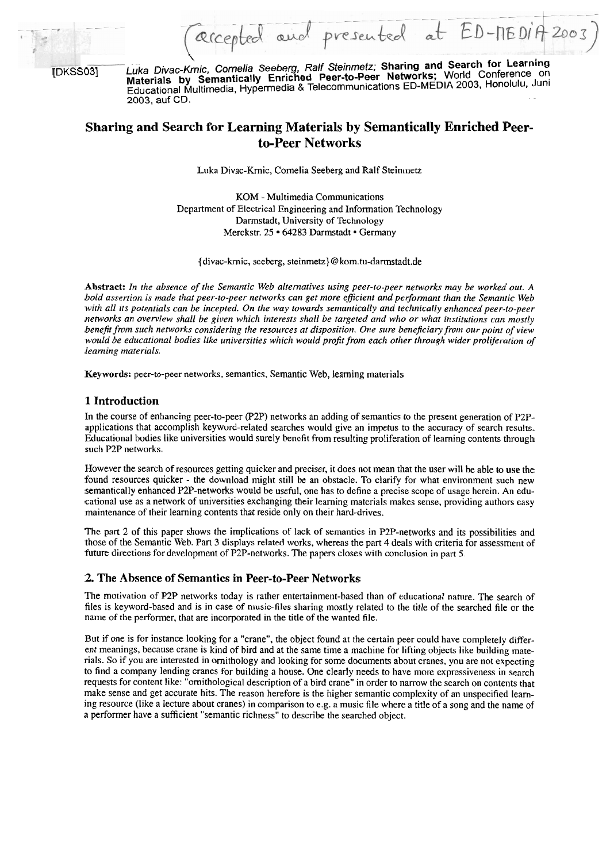

 $\sqrt{2}$ 

(DKSS031 Luka Divac-Kmic, Comelia Seeberg, Ralf Sfeinmefz; **Sharing and Search for Learning Materials by Semantically Enriched Peer-to-Peer Networks;** World Conference on Educational Multimedia, Hypermedia **8** Telecommunications ED-MEDIA 2003, Honolulu, Juni 2003, auf CD.

# **Sharing and Search for Learning Materials by Semantically Enriched Peerto-Peer Networks**

Luka Divac-Krnic, Comelia Seeberg and Ralf Steinmeiz.

KOM - Multimedia Communications Department of Electrical Engineering and Information Technology Darmstadt, University of Technology Merckstr. 25 · 64283 Darmstadt · Germany

{divac-krnic, seeberg, steinmetz}@kom.tu-darmstadt.de

**Abstract:** *In tlze absence of the Semntic Web alternatives using peer-to-peer networks may be worked out. A bold assertion is made that peer-to-peer networks can get more efficient and performant than the Semantic Web* with all its potentials can be incepted. On the way towards semantically and technically enhanced peer-to-peer *networks an overview shall be given which interests shall be targeted und who or what institutions can mostly benefit from such networks considering the resources at disposition. One sure beneficiary from our point of view would be educational bodies like universities which would profit from each other through wider proliferation of learning materials.* 

**Keywords:** peer-to-peer networks, semantics, Semantic Web, leaming materials

## **1 Introduction**

In the Course of enhancing peer-to-peer (P2P) networks an adding of semantics to the present generation of P2Papplications that accomplish keyword-related searches would give an impetus to the accuracy of search results. Educational bodies like universities would surely benefit from resulting proliferation of learning contents through such P2P networks.

However the search of resources getting quicker and preciser, it does not mean that the user will be able to use the found resources quicker - the download might still be an obstacle. To clarify for what environment such new semantically enhanced P2P-networks would be useful, one has to define a precise scope of usage herein. **An** educational use as a network of universities exchanging their leaming materials makes sense. providing authors easy maintenance of their learning contents that reside only on their hard-drives.

The part 2 of this paper shows the implications of lack of semantics in P2P-networks and its possibilities and those of the Semantic Web. Part 3 displays related works, whereas the part 4 deals with criteria for assessment of future directions for development of P2P-networks. The papers closes with conclusion in part 5.

## **2. The Absence of Semantics in Peer-to-Peer Networks**

The motivation of P2P networks today is rather entertainment-based than of educational nature. The search of files is keyword-based and is in case of music-files sharing mostly related to the title of the searched file or the name of the performer, that are incorporated in the title of the wanted file.

But if one is for instance looking for a "crane", the object found at the certain peer could have cornpletely different meanings, because crane is kind of bird and at the same time a machine for lifting objects like building materials. So if you are interested in ornithology and looking for some documents about cranes, you are not expecting to find a company lending cranes for building a house. One clearly needs to have more expressiveness in search requests for content like: "ornithological description of a bird crane" in order to narrow the search on contents that make sense and get accurate hits. The reason herefore is the higher semantic complexity of an unspecified learning resource (like a lecture about cranes) in comparison to e.g. a music file where a title of a Song and the name of a performer have a sufficient "semantic richness" to describe the searched object.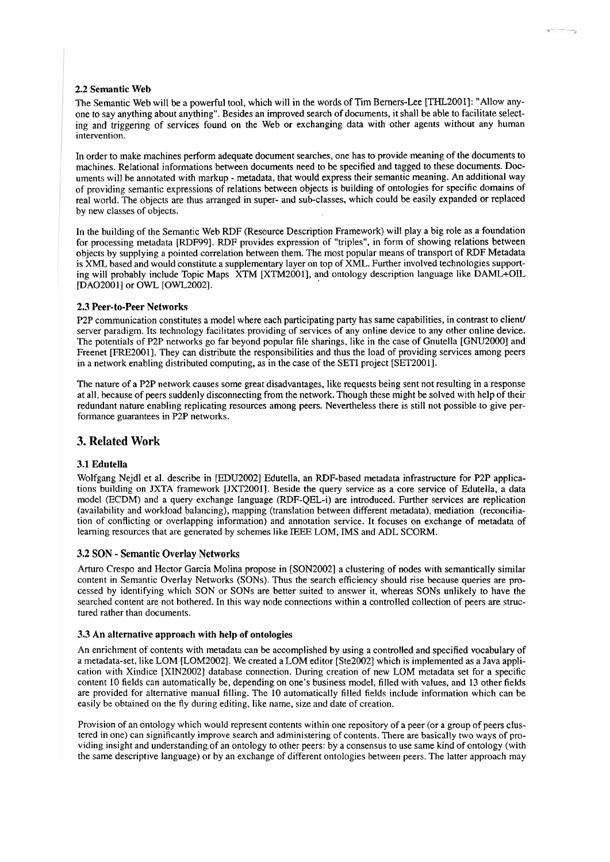#### **2.2** Semantic Web

The Semantic Web will be a powerful tool, which will in the words of Tim Berners-Lee [THL2001]: "Allow anyone to say anything about anything". Besides an improved search of documents, it shall be able to facilitate selecting and triggering of services found on the Web or exchanging data with other agents without any human intervention.

In order to make machines perform adequate document searches, one has to provide meaning of the documents to machines. Relational informations between documents need to be specified and tagged to these documents. Documents will be annotated with markup - metadata, that would express their semantic meaning. An additional way of providing semantic expressions of relations between objects is building of ontologies for specific domains of real world. The objects are thus arranged in super- and sub-classes, which could be easily expanded or replaced by new classes of objects.

In the buildiiig of the Semantic Web RDF (Resource Description Framework) will play a big role as a foundation for processing metadata [RDF99]. RDF provides expression of "triples", in form of showing relations between objects by supplying a pointed correlation between them. The most popular means of transport of RDF Metadata is XML based and would constitute a supplementary layer on top of XML. Further involved technologies supporting will probably include Topic Maps XTM [XTM2001], and ontology description language like DAML+OIL [DA0200 **11** or OWL [OWL2002].

#### **2.3** Peer-to-Peer Networks

P2P communication constitutes a model where each participating party has same capabilities, in contrast to client/ Server paradigm. Its technology facilitates providing of services of any online device to any other online device. The potentials of P2P networks go far beyond popular file sharings, like in the case of Gnutella [GNU20001 and Freenet [FRE2001]. They can distribute the responsibilities and thus the load of providing services among peers in a network enabling distributed computing, as in the case of the SETI project [SET2001].

The nature of a **P2P** network causes some great disadvantages, like requests being sent not resulting in a response at all, because of peers suddenly disconnecting from the network. Though these miglit be solved with help of their redundant nature enabling replicating resources among peers. Nevertheless there is still not possible to give performance guarantees in **P2P** networks.

## **3. Related Work**

#### **3.1** Edutella

Wolfgang Nejdl et al. describe in [EDU2002] Edutella, an RDF-based metadata infrastructure for P2P applications building on JXTA framework [JXT2001]. Beside the query service as a core service of Edutella, a data model (ECDM) and a query exchange language (RDF-QEL-i) are introduced. Further services are replication (availability and workload balancing), mapping (translation between different metadata), mediation (reconciliation of conflicting or overlapping information) and annotation service. It focuses on exchange of metadata of learning resources that are generated by schemes like IEEE LOM, IMS and ADL SCORM.

#### **3.2** SON - Semantic Overlay Networks

Arturo Crespo and Hector Garcia Molina propose in [SON2002] a clustering of nodes with semantically similar content in Semantic Overlay Networks (SONs). Thus the search efficiency should rise because queries are processed by identifying which SON or SONs are better suited to answer it, whereas SONs unlikely to have the searched content are not bothered. In this way node connections within a controlled collection of peers are structured rather than documents.

#### **3.3 An** alternative approach with help of ontologies

An enricliment of contents with metadata can be accomplished by using a controlled and specified vocabulary of a rnetadata-set, like LOM [LOM2002]. We created a LOM editor [Ste2002] which is implemented as a Java application with Xindice [XIN2002] database connection. During creation of new LOM metadata Set for a specific content 10 fields can automatically be, depending on one's business model, filled with values, and 13 other fields are provided for alternative manual filling. The 10 automatically filled fields include information which can be easily be obtained on the fly during editing, like name, size and date of creation.

Provision of an ontology which would represent contents within one repository of a peer (or a group of peers clustered in one) can significantly improve search and administering of contents. There are basically two ways of providing insight and understandingof an ontology to other peers: by a Consensus to use Same kind of ontology (with the same descriptive language) or by an exchange of different ontologies between peers. The latter approach may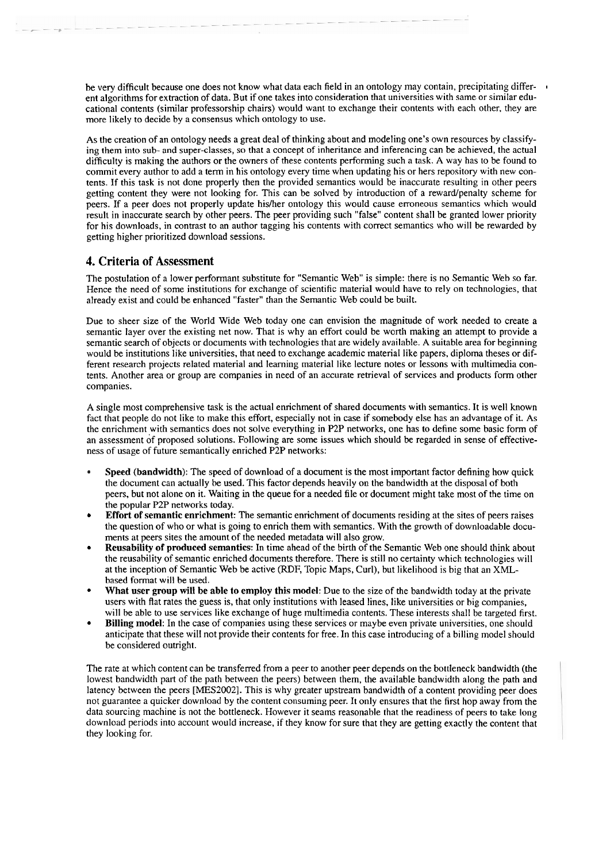be very difficult because one does not know what data each field in an ontology may contain, precipitating differ- <sup>1</sup> ent algorithms for extraction of data. But if one takes into consideration that universities with same or similar educational contents (sirnilar professorship chairs) would Want to exchange their contents with each other, they are more likely to decide by a consensus which ontology to use.

As the creation of an ontology needs a great deal of thinking about and modeling one's own resources by classifying them irito sub- and super-classes, so that a concept of inheritance and inferencing can be achieved, the actual difficulty is making the authors or the owners of these contents performing such a task. A way has to be found to commit every author to add a term in his ontology every time when updating his or hers repository with new contents. If this task is not done properly then the provided semantics would be inaccurate resulting in other peers getting content they were not looking for. This can be solved by introduction of a rewardlpenalty scheme for peers. If a peer does not properly update his/her ontology this would cause erroneous semantics which would result in inaccurate search by other peers. The peer providing such "false" content shall be granted lower priority for his downloads, in contrast to an author tagging his contents with correct semantics who will be rewarded by getting higher prioritized download sessions.

## **4. Criteria of Assessment**

The postulation of a lower performant substitute for "Semantic Web" is simple: there is no Semantic Web so far. Hence the need of some institutions for exchange of scientific material would have to rely on technologies, that already exist and could be enhanced "faster" than the Semantic Web could be built.

Due to sheer size of the World Wide Web today one can envision the magnitude of work needed to create a semantic layer over the existing net now. That is why an effort could be worth making an attempt to provide a semantic search of objects or documents with technologies that are widely available. **A** suitable area for beginning would be institutions like universities, that need to exchange academic material like papers, diploma theses or different research projects related material and learning material like lecture notes or lessons with multimedia contents. Another area or group are companies in need of an accurate retrieval of services and products form other companies.

A single most comprehensive task is the actual enrichment of shared documents with semantics. It is well known fact that people do not like to make this effort, especially not in case if somebody else has an advantage of it. As the enrichment with semantics does not solve everything in **P2P** networks, one has to define some basic form of an assessment of proposed solutions. Following are some issues which should be regarded in sense of effectiveness of usage of future semantically enriched P2P networks:

- **Speed (bandwidth):** The speed of download of a document is the most important factor defining how quick the document can actually be used. This factor depends heavily on the bandwidth at the disposal of both peers, but not alone on it. Waiting in the queue for a needed file or document might take most of the time on the popular P2P networks today.
- **Effort of semantic enrichment:** The semantic enrichment of documents residing at the sites of peers raises the question of who or what is going to enrich them with semantics. With the growth of downloadable documents at peers sites the amount of the needed metadata will also grow.
- **Reusability of produced semantics:** In time aliead of the birth of the Semantic Web one should think about the reusability of semantic enriched documents therefore. There is still no certainty which technologies will at the inception of Semantic Web be active (RDF, Topic Maps, Curl), but likelihood is big that an XMLbased format will be used.
- What user group will be able to employ this model: Due to the size of the bandwidth today at the private Users with flat rates the guess is, that only institutions with leased lines, like universities or big companies, will be able to use services like exchange of huge multimedia contents. These interests shall be targeted first.
- **Billing model:** In the case of companies using these services or maybe even private universities, one should anticipate that these will not provide their contents for free. In this case introducing of a billing model should be considered outright.

The rate at which content can be transferred from a peer to another peer depends on the bottleneck bandwidth (the lowest bandwidth part of the path between the peers) between them, the available bandwidth along the path and latency between the peers [MES2002]. This is why greater upstream bandwidth of a content providing peer does not guarantee a quicker download by the content consuming peer. It only ensures that the first hop away from the data sourcing machine is not the bottleneck. However it seams reasonable that the readiness of peers to take long download periods into account would increase, if they know for sure that they are getting exactly the content that they looking for.